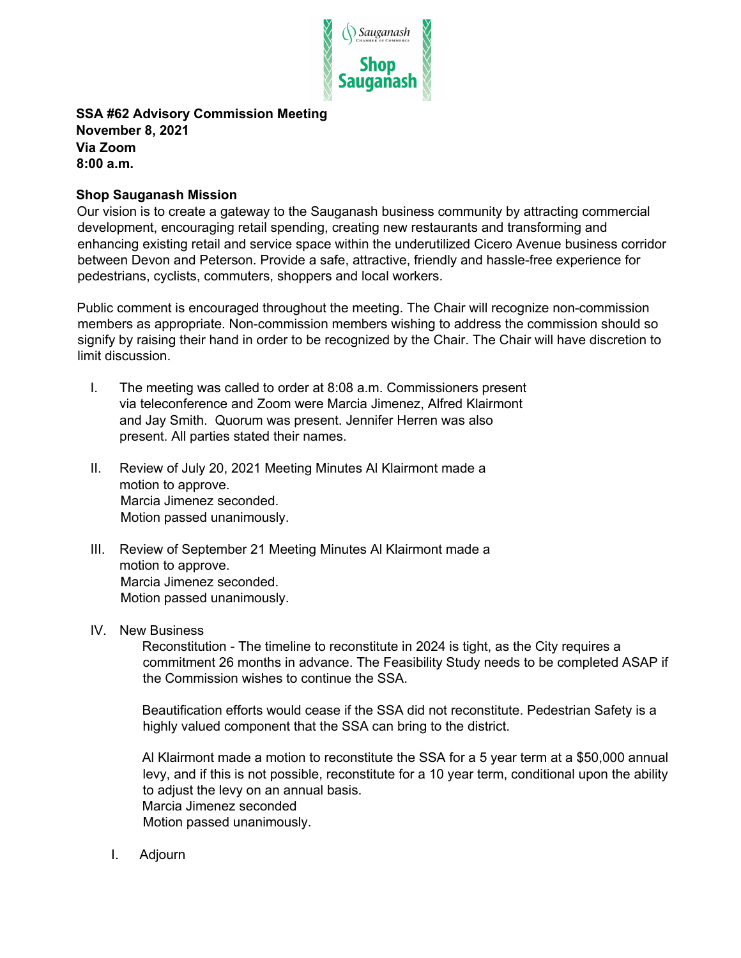

## **SSA #62 Advisory Commission Meeting November 8, 2021 Via Zoom 8:00 a.m.**

## **Shop Sauganash Mission**

Our vision is to create a gateway to the Sauganash business community by attracting commercial development, encouraging retail spending, creating new restaurants and transforming and enhancing existing retail and service space within the underutilized Cicero Avenue business corridor between Devon and Peterson. Provide a safe, attractive, friendly and hassle-free experience for pedestrians, cyclists, commuters, shoppers and local workers.

Public comment is encouraged throughout the meeting. The Chair will recognize non-commission members as appropriate. Non-commission members wishing to address the commission should so signify by raising their hand in order to be recognized by the Chair. The Chair will have discretion to limit discussion.

- I. The meeting was called to order at 8:08 a.m. Commissioners present via teleconference and Zoom were Marcia Jimenez, Alfred Klairmont and Jay Smith. Quorum was present. Jennifer Herren was also present. All parties stated their names.
- II. Review of July 20, 2021 Meeting Minutes Al Klairmont made a motion to approve. Marcia Jimenez seconded. Motion passed unanimously.
- III. Review of September 21 Meeting Minutes Al Klairmont made a motion to approve. Marcia Jimenez seconded. Motion passed unanimously.
- IV. New Business

Reconstitution - The timeline to reconstitute in 2024 is tight, as the City requires a commitment 26 months in advance. The Feasibility Study needs to be completed ASAP if the Commission wishes to continue the SSA.

Beautification efforts would cease if the SSA did not reconstitute. Pedestrian Safety is a highly valued component that the SSA can bring to the district.

Al Klairmont made a motion to reconstitute the SSA for a 5 year term at a \$50,000 annual levy, and if this is not possible, reconstitute for a 10 year term, conditional upon the ability to adjust the levy on an annual basis. Marcia Jimenez seconded Motion passed unanimously.

I. Adjourn